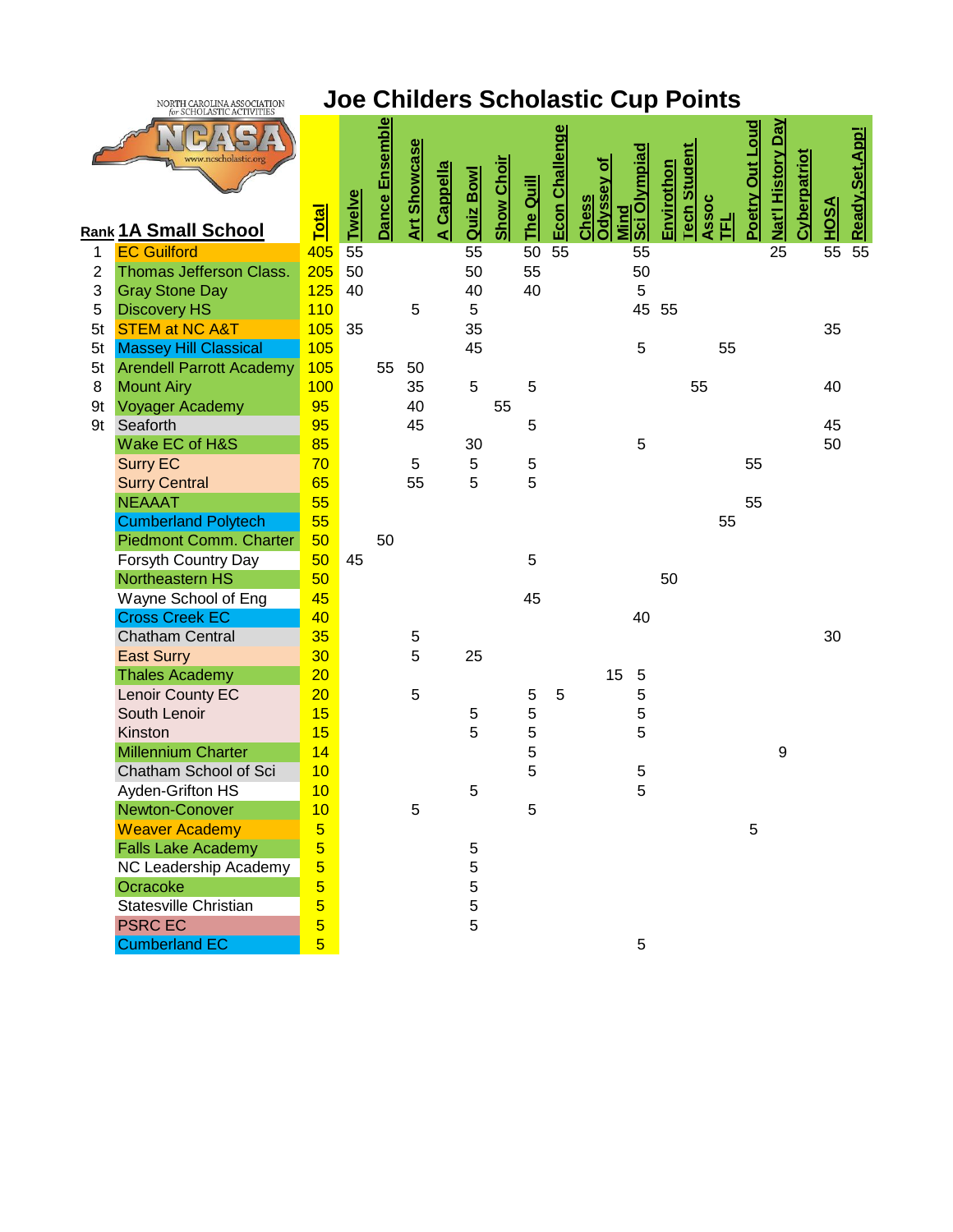

## **Joe Childers Scholastic Cup Points**

|                | 3C11Q1231C1C111111.             | <u><b>Total</b></u>     | <b>Twelve</b> | <u>Dance Ensemble</u> | <b>Art Showcase</b> | <u>A Cappella</u> | Quiz Bowl | <b>Show Choir</b> | The Quill | <b>Econ Challenge</b> | Sci Olympiad<br>ō<br><b>Odyssey</b><br>Chess | Envirothon | <b>Tech Student</b> | Assoc | Poetry Out Loud | Nat'l History Day | <b>Cyberpatriot</b> | <u>HOSA</u> | Ready, Set, App! |
|----------------|---------------------------------|-------------------------|---------------|-----------------------|---------------------|-------------------|-----------|-------------------|-----------|-----------------------|----------------------------------------------|------------|---------------------|-------|-----------------|-------------------|---------------------|-------------|------------------|
|                | <b>Rank 1A Small School</b>     |                         |               |                       |                     |                   |           |                   |           |                       | Mind                                         |            |                     | 립     |                 |                   |                     |             |                  |
| 1              | <b>EC Guilford</b>              | 405                     | 55            |                       |                     |                   | 55        |                   | 50        | 55                    | 55                                           |            |                     |       |                 | 25                |                     | 55          | 55               |
| $\overline{2}$ | Thomas Jefferson Class.         | 205                     | 50            |                       |                     |                   | 50        |                   | 55        |                       | 50                                           |            |                     |       |                 |                   |                     |             |                  |
| 3              | <b>Gray Stone Day</b>           | 125                     | 40            |                       |                     |                   | 40        |                   | 40        |                       | 5                                            |            |                     |       |                 |                   |                     |             |                  |
| 5              | <b>Discovery HS</b>             | 110                     |               |                       | 5                   |                   | 5         |                   |           |                       | 45                                           | 55         |                     |       |                 |                   |                     |             |                  |
| 5t             | <b>STEM at NC A&amp;T</b>       | 105                     | 35            |                       |                     |                   | 35        |                   |           |                       |                                              |            |                     |       |                 |                   |                     | 35          |                  |
| 5t             | <b>Massey Hill Classical</b>    | 105                     |               |                       |                     |                   | 45        |                   |           |                       | 5                                            |            |                     | 55    |                 |                   |                     |             |                  |
| 5t             | <b>Arendell Parrott Academy</b> | 105                     |               | 55                    | 50                  |                   |           |                   |           |                       |                                              |            |                     |       |                 |                   |                     |             |                  |
| 8              | <b>Mount Airy</b>               | 100                     |               |                       | 35                  |                   | 5         |                   | 5         |                       |                                              |            | 55                  |       |                 |                   |                     | 40          |                  |
| 9t             | <b>Voyager Academy</b>          | 95                      |               |                       | 40                  |                   |           | 55                |           |                       |                                              |            |                     |       |                 |                   |                     |             |                  |
| 9t             | Seaforth                        | 95                      |               |                       | 45                  |                   |           |                   | 5         |                       |                                              |            |                     |       |                 |                   |                     | 45          |                  |
|                | Wake EC of H&S                  | 85                      |               |                       |                     |                   | 30        |                   |           |                       | 5                                            |            |                     |       |                 |                   |                     | 50          |                  |
|                | <b>Surry EC</b>                 | 70                      |               |                       | 5                   |                   | 5         |                   | 5         |                       |                                              |            |                     |       | 55              |                   |                     |             |                  |
|                | <b>Surry Central</b>            | 65                      |               |                       | 55                  |                   | 5         |                   | 5         |                       |                                              |            |                     |       |                 |                   |                     |             |                  |
|                | <b>NEAAAT</b>                   | 55                      |               |                       |                     |                   |           |                   |           |                       |                                              |            |                     |       | 55              |                   |                     |             |                  |
|                | <b>Cumberland Polytech</b>      | 55                      |               |                       |                     |                   |           |                   |           |                       |                                              |            |                     | 55    |                 |                   |                     |             |                  |
|                | Piedmont Comm. Charter          | 50                      |               | 50                    |                     |                   |           |                   |           |                       |                                              |            |                     |       |                 |                   |                     |             |                  |
|                | Forsyth Country Day             | 50                      | 45            |                       |                     |                   |           |                   | 5         |                       |                                              |            |                     |       |                 |                   |                     |             |                  |
|                | Northeastern HS                 | 50                      |               |                       |                     |                   |           |                   |           |                       |                                              | 50         |                     |       |                 |                   |                     |             |                  |
|                | Wayne School of Eng             | 45                      |               |                       |                     |                   |           |                   | 45        |                       |                                              |            |                     |       |                 |                   |                     |             |                  |
|                | <b>Cross Creek EC</b>           | 40                      |               |                       |                     |                   |           |                   |           |                       | 40                                           |            |                     |       |                 |                   |                     |             |                  |
|                | <b>Chatham Central</b>          | 35                      |               |                       | 5                   |                   |           |                   |           |                       |                                              |            |                     |       |                 |                   |                     | 30          |                  |
|                | <b>East Surry</b>               | 30                      |               |                       | 5                   |                   | 25        |                   |           |                       |                                              |            |                     |       |                 |                   |                     |             |                  |
|                | <b>Thales Academy</b>           | 20                      |               |                       |                     |                   |           |                   |           |                       | 15<br>$\sqrt{5}$                             |            |                     |       |                 |                   |                     |             |                  |
|                | Lenoir County EC                | 20                      |               |                       | 5                   |                   |           |                   | 5         | 5                     | 5                                            |            |                     |       |                 |                   |                     |             |                  |
|                | South Lenoir                    | 15                      |               |                       |                     |                   | 5         |                   | 5         |                       | 5                                            |            |                     |       |                 |                   |                     |             |                  |
|                | Kinston                         | 15                      |               |                       |                     |                   | 5         |                   | 5         |                       | 5                                            |            |                     |       |                 |                   |                     |             |                  |
|                | <b>Millennium Charter</b>       | 14                      |               |                       |                     |                   |           |                   | 5         |                       |                                              |            |                     |       |                 | 9                 |                     |             |                  |
|                | Chatham School of Sci           | 10                      |               |                       |                     |                   |           |                   | 5         |                       | $\,$ 5 $\,$                                  |            |                     |       |                 |                   |                     |             |                  |
|                | Ayden-Grifton HS                | 10                      |               |                       |                     |                   | 5         |                   |           |                       | 5                                            |            |                     |       |                 |                   |                     |             |                  |
|                | Newton-Conover                  | 10                      |               |                       | 5                   |                   |           |                   | 5         |                       |                                              |            |                     |       |                 |                   |                     |             |                  |
|                | <b>Weaver Academy</b>           | $\overline{\mathbf{5}}$ |               |                       |                     |                   |           |                   |           |                       |                                              |            |                     |       | 5               |                   |                     |             |                  |
|                | <b>Falls Lake Academy</b>       | $\overline{\mathbf{5}}$ |               |                       |                     |                   | 5         |                   |           |                       |                                              |            |                     |       |                 |                   |                     |             |                  |
|                | NC Leadership Academy           | $\overline{\mathbf{5}}$ |               |                       |                     |                   | 5         |                   |           |                       |                                              |            |                     |       |                 |                   |                     |             |                  |
|                | Ocracoke                        | $\overline{\mathbf{5}}$ |               |                       |                     |                   | 5         |                   |           |                       |                                              |            |                     |       |                 |                   |                     |             |                  |
|                | Statesville Christian           | $\overline{5}$          |               |                       |                     |                   | 5         |                   |           |                       |                                              |            |                     |       |                 |                   |                     |             |                  |
|                | <b>PSRCEC</b>                   | $\overline{5}$          |               |                       |                     |                   | 5         |                   |           |                       |                                              |            |                     |       |                 |                   |                     |             |                  |
|                | <b>Cumberland EC</b>            | $\overline{5}$          |               |                       |                     |                   |           |                   |           |                       | 5                                            |            |                     |       |                 |                   |                     |             |                  |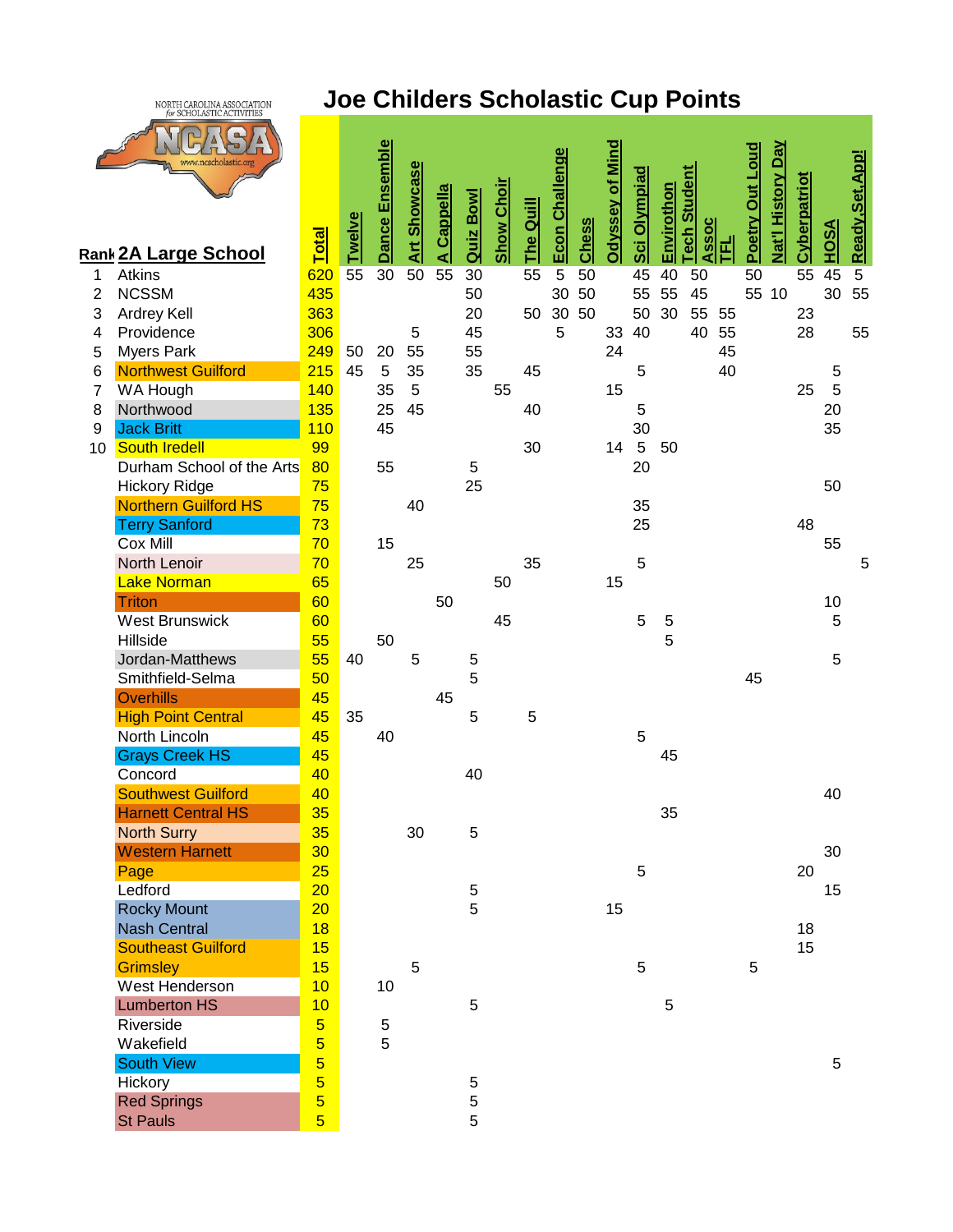

## **Joe Childers Scholastic Cup Points**

|                 | www.ncscholastic.or<br><b>Rank 2A Large School</b> | <b>Total</b>                              | <b>Twelve</b> | Dance Ensemble | <b>Art Showcase</b> | <b>Cappella</b> | Quiz Bowl   | <b>Show Choir</b> | <b>The Quill</b> | Econ Challenge | Chess | Odyssey of Mind | <b>Sci Olympiad</b> | Envirothon | Student<br>Assoc<br><b>Tech</b> | 프  | Poetry Out Loud | Nat'l History Day | <b>Cyberpatriot</b> | <u>HOSA</u> | Ready, Set, App! |
|-----------------|----------------------------------------------------|-------------------------------------------|---------------|----------------|---------------------|-----------------|-------------|-------------------|------------------|----------------|-------|-----------------|---------------------|------------|---------------------------------|----|-----------------|-------------------|---------------------|-------------|------------------|
| 1               | Atkins                                             | 620                                       | 55            | 30             | 50                  | ⋖<br>55         | 30          |                   | 55               | $\overline{5}$ | 50    |                 | 45                  | 40         | 50                              |    | 50              |                   | 55                  | 45          | $5\phantom{.0}$  |
| $\overline{2}$  | <b>NCSSM</b>                                       | 435                                       |               |                |                     |                 | 50          |                   |                  | 30             | 50    |                 | 55                  | 55         | 45                              |    |                 | 55 10             |                     | 30          | 55               |
| 3               | Ardrey Kell                                        | 363                                       |               |                |                     |                 | 20          |                   | 50               | 30             | 50    |                 | 50                  | 30         | 55                              | 55 |                 |                   | 23                  |             |                  |
| 4               | Providence                                         | 306                                       |               |                | 5                   |                 | 45          |                   |                  | 5              |       | 33              | 40                  |            | 40                              | 55 |                 |                   | 28                  |             | 55               |
| 5               | <b>Myers Park</b>                                  | 249                                       | 50            | 20             | 55                  |                 | 55          |                   |                  |                |       | 24              |                     |            |                                 | 45 |                 |                   |                     |             |                  |
| 6               | <b>Northwest Guilford</b>                          | 215                                       | 45            | 5              | 35                  |                 | 35          |                   | 45               |                |       |                 | 5                   |            |                                 | 40 |                 |                   |                     | 5           |                  |
| $\overline{7}$  | WA Hough                                           | 140                                       |               | 35             | 5                   |                 |             | 55                |                  |                |       | 15              |                     |            |                                 |    |                 |                   | 25                  | 5           |                  |
| 8               | Northwood                                          | 135                                       |               | 25             | 45                  |                 |             |                   | 40               |                |       |                 | 5                   |            |                                 |    |                 |                   |                     | 20          |                  |
| 9               | <b>Jack Britt</b>                                  | 110                                       |               | 45             |                     |                 |             |                   |                  |                |       |                 | 30                  |            |                                 |    |                 |                   |                     | 35          |                  |
| 10 <sup>1</sup> | <b>South Iredell</b>                               | 99                                        |               |                |                     |                 |             |                   | 30               |                |       | 14              | $5\phantom{.0}$     | 50         |                                 |    |                 |                   |                     |             |                  |
|                 | Durham School of the Arts                          | 80                                        |               | 55             |                     |                 | 5           |                   |                  |                |       |                 | 20                  |            |                                 |    |                 |                   |                     |             |                  |
|                 | <b>Hickory Ridge</b>                               | 75                                        |               |                |                     |                 | 25          |                   |                  |                |       |                 |                     |            |                                 |    |                 |                   |                     | 50          |                  |
|                 | <b>Northern Guilford HS</b>                        | 75                                        |               |                | 40                  |                 |             |                   |                  |                |       |                 | 35                  |            |                                 |    |                 |                   |                     |             |                  |
|                 | <b>Terry Sanford</b>                               | 73                                        |               |                |                     |                 |             |                   |                  |                |       |                 | 25                  |            |                                 |    |                 |                   | 48                  |             |                  |
|                 | Cox Mill                                           | 70                                        |               | 15             |                     |                 |             |                   |                  |                |       |                 |                     |            |                                 |    |                 |                   |                     | 55          |                  |
|                 | North Lenoir                                       | 70                                        |               |                | 25                  |                 |             |                   | 35               |                |       |                 | 5                   |            |                                 |    |                 |                   |                     |             | 5                |
|                 | <b>Lake Norman</b><br><b>Triton</b>                | 65<br>60                                  |               |                |                     | 50              |             | 50                |                  |                |       | 15              |                     |            |                                 |    |                 |                   |                     | 10          |                  |
|                 | <b>West Brunswick</b>                              | 60                                        |               |                |                     |                 |             | 45                |                  |                |       |                 | 5                   | 5          |                                 |    |                 |                   |                     | 5           |                  |
|                 | Hillside                                           | 55                                        |               | 50             |                     |                 |             |                   |                  |                |       |                 |                     | 5          |                                 |    |                 |                   |                     |             |                  |
|                 | Jordan-Matthews                                    | 55                                        | 40            |                | 5                   |                 | $\,$ 5 $\,$ |                   |                  |                |       |                 |                     |            |                                 |    |                 |                   |                     | 5           |                  |
|                 | Smithfield-Selma                                   | 50                                        |               |                |                     |                 | 5           |                   |                  |                |       |                 |                     |            |                                 |    | 45              |                   |                     |             |                  |
|                 | <b>Overhills</b>                                   | 45                                        |               |                |                     | 45              |             |                   |                  |                |       |                 |                     |            |                                 |    |                 |                   |                     |             |                  |
|                 | <b>High Point Central</b>                          | 45                                        | 35            |                |                     |                 | 5           |                   | 5                |                |       |                 |                     |            |                                 |    |                 |                   |                     |             |                  |
|                 | North Lincoln                                      | 45                                        |               | 40             |                     |                 |             |                   |                  |                |       |                 | 5                   |            |                                 |    |                 |                   |                     |             |                  |
|                 | <b>Grays Creek HS</b>                              | 45                                        |               |                |                     |                 |             |                   |                  |                |       |                 |                     | 45         |                                 |    |                 |                   |                     |             |                  |
|                 | Concord                                            | 40                                        |               |                |                     |                 | 40          |                   |                  |                |       |                 |                     |            |                                 |    |                 |                   |                     |             |                  |
|                 | <b>Southwest Guilford</b>                          | 40                                        |               |                |                     |                 |             |                   |                  |                |       |                 |                     |            |                                 |    |                 |                   |                     | 40          |                  |
|                 | <b>Harnett Central HS</b>                          | 35                                        |               |                |                     |                 |             |                   |                  |                |       |                 |                     | 35         |                                 |    |                 |                   |                     |             |                  |
|                 | <b>North Surry</b>                                 | 35                                        |               |                | 30                  |                 | 5           |                   |                  |                |       |                 |                     |            |                                 |    |                 |                   |                     |             |                  |
|                 | <b>Western Harnett</b>                             | 30                                        |               |                |                     |                 |             |                   |                  |                |       |                 |                     |            |                                 |    |                 |                   |                     | 30          |                  |
|                 | Page                                               | 25                                        |               |                |                     |                 |             |                   |                  |                |       |                 | 5                   |            |                                 |    |                 |                   | 20                  |             |                  |
|                 | Ledford                                            | 20                                        |               |                |                     |                 | $\,$ 5 $\,$ |                   |                  |                |       |                 |                     |            |                                 |    |                 |                   |                     | 15          |                  |
|                 | <b>Rocky Mount</b>                                 | 20                                        |               |                |                     |                 | 5           |                   |                  |                |       | 15              |                     |            |                                 |    |                 |                   |                     |             |                  |
|                 | <b>Nash Central</b>                                | 18                                        |               |                |                     |                 |             |                   |                  |                |       |                 |                     |            |                                 |    |                 |                   | 18                  |             |                  |
|                 | <b>Southeast Guilford</b>                          | 15                                        |               |                |                     |                 |             |                   |                  |                |       |                 |                     |            |                                 |    |                 |                   | 15                  |             |                  |
|                 | <b>Grimsley</b>                                    | 15                                        |               |                | 5                   |                 |             |                   |                  |                |       |                 | 5                   |            |                                 |    | 5               |                   |                     |             |                  |
|                 | West Henderson                                     | 10                                        |               | 10             |                     |                 |             |                   |                  |                |       |                 |                     |            |                                 |    |                 |                   |                     |             |                  |
|                 | <b>Lumberton HS</b>                                | 10                                        |               |                |                     |                 | $\sqrt{5}$  |                   |                  |                |       |                 |                     | 5          |                                 |    |                 |                   |                     |             |                  |
|                 | Riverside                                          | $\overline{5}$                            |               | 5              |                     |                 |             |                   |                  |                |       |                 |                     |            |                                 |    |                 |                   |                     |             |                  |
|                 | Wakefield                                          | $\overline{5}$                            |               | 5              |                     |                 |             |                   |                  |                |       |                 |                     |            |                                 |    |                 |                   |                     |             |                  |
|                 | <b>South View</b>                                  | $\overline{5}$                            |               |                |                     |                 |             |                   |                  |                |       |                 |                     |            |                                 |    |                 |                   |                     | 5           |                  |
|                 | Hickory                                            | $\overline{5}$<br>$\overline{\mathbf{5}}$ |               |                |                     |                 | 5           |                   |                  |                |       |                 |                     |            |                                 |    |                 |                   |                     |             |                  |
|                 | <b>Red Springs</b><br><b>St Pauls</b>              | $\overline{5}$                            |               |                |                     |                 | 5<br>5      |                   |                  |                |       |                 |                     |            |                                 |    |                 |                   |                     |             |                  |
|                 |                                                    |                                           |               |                |                     |                 |             |                   |                  |                |       |                 |                     |            |                                 |    |                 |                   |                     |             |                  |